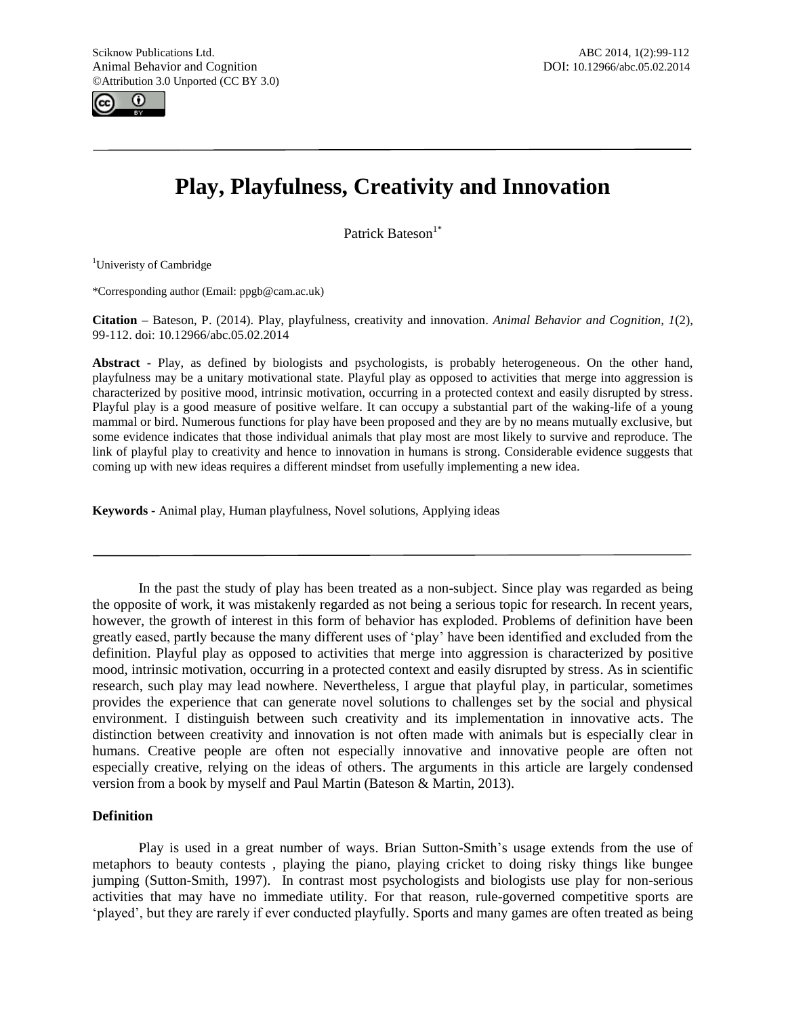

# **Play, Playfulness, Creativity and Innovation**

Patrick Bateson<sup>1\*</sup>

<sup>1</sup>Univeristy of Cambridge

\*Corresponding author (Email: ppgb@cam.ac.uk)

**Citation –** Bateson, P. (2014). Play, playfulness, creativity and innovation. *Animal Behavior and Cognition, 1*(2), 99-112. doi: 10.12966/abc.05.02.2014

**Abstract -** Play, as defined by biologists and psychologists, is probably heterogeneous. On the other hand, playfulness may be a unitary motivational state. Playful play as opposed to activities that merge into aggression is characterized by positive mood, intrinsic motivation, occurring in a protected context and easily disrupted by stress. Playful play is a good measure of positive welfare. It can occupy a substantial part of the waking-life of a young mammal or bird. Numerous functions for play have been proposed and they are by no means mutually exclusive, but some evidence indicates that those individual animals that play most are most likely to survive and reproduce. The link of playful play to creativity and hence to innovation in humans is strong. Considerable evidence suggests that coming up with new ideas requires a different mindset from usefully implementing a new idea.

**Keywords -** Animal play, Human playfulness, Novel solutions, Applying ideas

In the past the study of play has been treated as a non-subject. Since play was regarded as being the opposite of work, it was mistakenly regarded as not being a serious topic for research. In recent years, however, the growth of interest in this form of behavior has exploded. Problems of definition have been greatly eased, partly because the many different uses of "play" have been identified and excluded from the definition. Playful play as opposed to activities that merge into aggression is characterized by positive mood, intrinsic motivation, occurring in a protected context and easily disrupted by stress. As in scientific research, such play may lead nowhere. Nevertheless, I argue that playful play, in particular, sometimes provides the experience that can generate novel solutions to challenges set by the social and physical environment. I distinguish between such creativity and its implementation in innovative acts. The distinction between creativity and innovation is not often made with animals but is especially clear in humans. Creative people are often not especially innovative and innovative people are often not especially creative, relying on the ideas of others. The arguments in this article are largely condensed version from a book by myself and Paul Martin (Bateson & Martin, 2013).

## **Definition**

Play is used in a great number of ways. Brian Sutton-Smith"s usage extends from the use of metaphors to beauty contests *,* playing the piano, playing cricket to doing risky things like bungee jumping (Sutton-Smith, 1997). In contrast most psychologists and biologists use play for non-serious activities that may have no immediate utility. For that reason, rule-governed competitive sports are "played", but they are rarely if ever conducted playfully. Sports and many games are often treated as being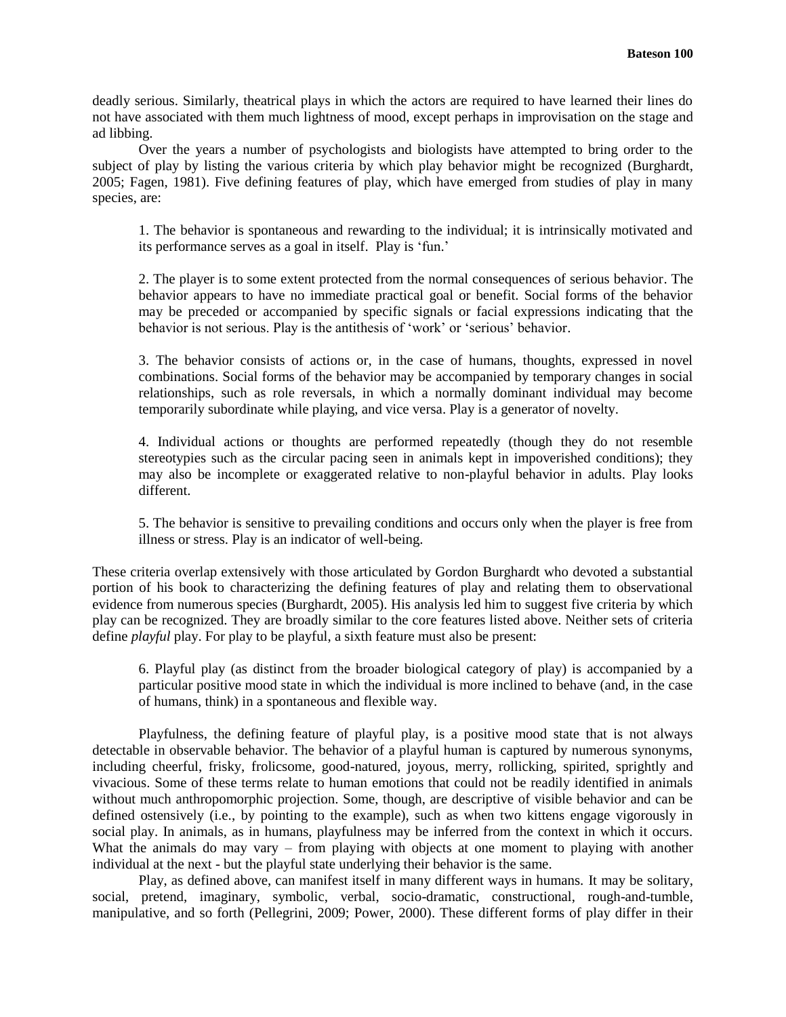deadly serious. Similarly, theatrical plays in which the actors are required to have learned their lines do not have associated with them much lightness of mood, except perhaps in improvisation on the stage and ad libbing.

Over the years a number of psychologists and biologists have attempted to bring order to the subject of play by listing the various criteria by which play behavior might be recognized (Burghardt, 2005; Fagen, 1981). Five defining features of play, which have emerged from studies of play in many species, are:

1. The behavior is spontaneous and rewarding to the individual; it is intrinsically motivated and its performance serves as a goal in itself. Play is "fun."

2. The player is to some extent protected from the normal consequences of serious behavior. The behavior appears to have no immediate practical goal or benefit. Social forms of the behavior may be preceded or accompanied by specific signals or facial expressions indicating that the behavior is not serious. Play is the antithesis of 'work' or 'serious' behavior.

3. The behavior consists of actions or, in the case of humans, thoughts, expressed in novel combinations. Social forms of the behavior may be accompanied by temporary changes in social relationships, such as role reversals, in which a normally dominant individual may become temporarily subordinate while playing, and vice versa. Play is a generator of novelty.

4. Individual actions or thoughts are performed repeatedly (though they do not resemble stereotypies such as the circular pacing seen in animals kept in impoverished conditions); they may also be incomplete or exaggerated relative to non-playful behavior in adults. Play looks different.

5. The behavior is sensitive to prevailing conditions and occurs only when the player is free from illness or stress. Play is an indicator of well-being.

These criteria overlap extensively with those articulated by Gordon Burghardt who devoted a substantial portion of his book to characterizing the defining features of play and relating them to observational evidence from numerous species (Burghardt, 2005). His analysis led him to suggest five criteria by which play can be recognized. They are broadly similar to the core features listed above. Neither sets of criteria define *playful* play. For play to be playful, a sixth feature must also be present:

6. Playful play (as distinct from the broader biological category of play) is accompanied by a particular positive mood state in which the individual is more inclined to behave (and, in the case of humans, think) in a spontaneous and flexible way.

Playfulness, the defining feature of playful play, is a positive mood state that is not always detectable in observable behavior. The behavior of a playful human is captured by numerous synonyms, including cheerful, frisky, frolicsome, good-natured, joyous, merry, rollicking, spirited, sprightly and vivacious. Some of these terms relate to human emotions that could not be readily identified in animals without much anthropomorphic projection. Some, though, are descriptive of visible behavior and can be defined ostensively (i.e., by pointing to the example), such as when two kittens engage vigorously in social play. In animals, as in humans, playfulness may be inferred from the context in which it occurs. What the animals do may vary – from playing with objects at one moment to playing with another individual at the next - but the playful state underlying their behavior is the same.

Play, as defined above, can manifest itself in many different ways in humans. It may be solitary, social, pretend, imaginary, symbolic, verbal, socio-dramatic, constructional, rough-and-tumble, manipulative, and so forth (Pellegrini, 2009; Power, 2000). These different forms of play differ in their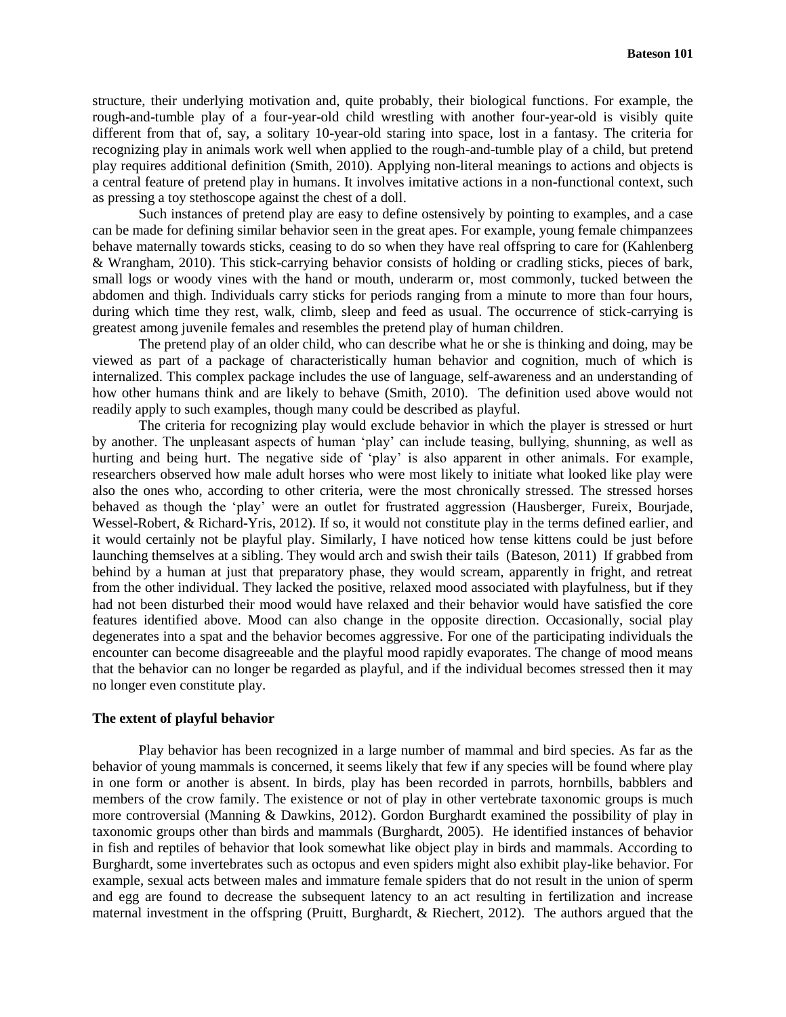structure, their underlying motivation and, quite probably, their biological functions. For example, the rough-and-tumble play of a four-year-old child wrestling with another four-year-old is visibly quite different from that of, say, a solitary 10-year-old staring into space, lost in a fantasy. The criteria for recognizing play in animals work well when applied to the rough-and-tumble play of a child, but pretend play requires additional definition (Smith, 2010). Applying non-literal meanings to actions and objects is a central feature of pretend play in humans. It involves imitative actions in a non-functional context, such as pressing a toy stethoscope against the chest of a doll.

Such instances of pretend play are easy to define ostensively by pointing to examples, and a case can be made for defining similar behavior seen in the great apes. For example, young female chimpanzees behave maternally towards sticks, ceasing to do so when they have real offspring to care for (Kahlenberg & Wrangham, 2010). This stick-carrying behavior consists of holding or cradling sticks, pieces of bark, small logs or woody vines with the hand or mouth, underarm or, most commonly, tucked between the abdomen and thigh. Individuals carry sticks for periods ranging from a minute to more than four hours, during which time they rest, walk, climb, sleep and feed as usual. The occurrence of stick-carrying is greatest among juvenile females and resembles the pretend play of human children.

The pretend play of an older child, who can describe what he or she is thinking and doing, may be viewed as part of a package of characteristically human behavior and cognition, much of which is internalized. This complex package includes the use of language, self-awareness and an understanding of how other humans think and are likely to behave (Smith, 2010). The definition used above would not readily apply to such examples, though many could be described as playful.

The criteria for recognizing play would exclude behavior in which the player is stressed or hurt by another. The unpleasant aspects of human "play" can include teasing, bullying, shunning, as well as hurting and being hurt. The negative side of 'play' is also apparent in other animals. For example, researchers observed how male adult horses who were most likely to initiate what looked like play were also the ones who, according to other criteria, were the most chronically stressed. The stressed horses behaved as though the "play" were an outlet for frustrated aggression (Hausberger, Fureix, Bourjade, Wessel-Robert, & Richard-Yris, 2012). If so, it would not constitute play in the terms defined earlier, and it would certainly not be playful play. Similarly, I have noticed how tense kittens could be just before launching themselves at a sibling. They would arch and swish their tails (Bateson, 2011) If grabbed from behind by a human at just that preparatory phase, they would scream, apparently in fright, and retreat from the other individual. They lacked the positive, relaxed mood associated with playfulness, but if they had not been disturbed their mood would have relaxed and their behavior would have satisfied the core features identified above. Mood can also change in the opposite direction. Occasionally, social play degenerates into a spat and the behavior becomes aggressive. For one of the participating individuals the encounter can become disagreeable and the playful mood rapidly evaporates. The change of mood means that the behavior can no longer be regarded as playful, and if the individual becomes stressed then it may no longer even constitute play.

## **The extent of playful behavior**

Play behavior has been recognized in a large number of mammal and bird species. As far as the behavior of young mammals is concerned, it seems likely that few if any species will be found where play in one form or another is absent. In birds, play has been recorded in parrots, hornbills, babblers and members of the crow family. The existence or not of play in other vertebrate taxonomic groups is much more controversial (Manning & Dawkins, 2012). Gordon Burghardt examined the possibility of play in taxonomic groups other than birds and mammals (Burghardt, 2005). He identified instances of behavior in fish and reptiles of behavior that look somewhat like object play in birds and mammals. According to Burghardt, some invertebrates such as octopus and even spiders might also exhibit play-like behavior. For example, sexual acts between males and immature female spiders that do not result in the union of sperm and egg are found to decrease the subsequent latency to an act resulting in fertilization and increase maternal investment in the offspring (Pruitt, Burghardt, & Riechert, 2012). The authors argued that the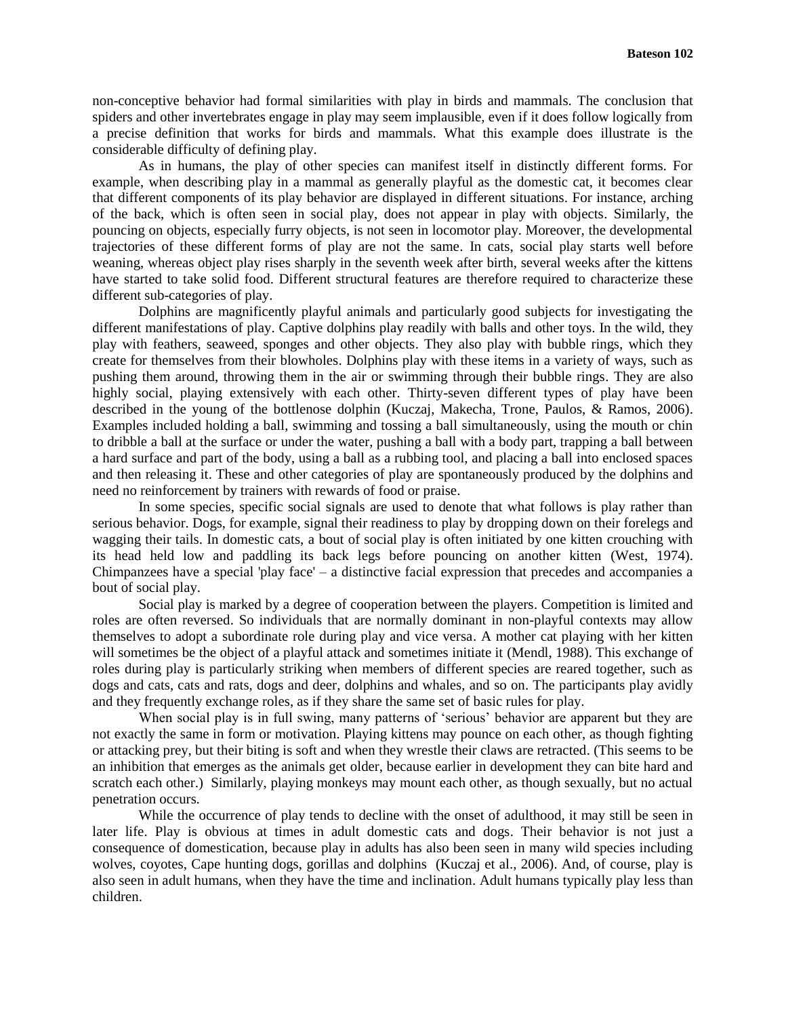non-conceptive behavior had formal similarities with play in birds and mammals. The conclusion that spiders and other invertebrates engage in play may seem implausible, even if it does follow logically from a precise definition that works for birds and mammals. What this example does illustrate is the considerable difficulty of defining play.

As in humans, the play of other species can manifest itself in distinctly different forms. For example, when describing play in a mammal as generally playful as the domestic cat, it becomes clear that different components of its play behavior are displayed in different situations. For instance, arching of the back, which is often seen in social play, does not appear in play with objects. Similarly, the pouncing on objects, especially furry objects, is not seen in locomotor play. Moreover, the developmental trajectories of these different forms of play are not the same. In cats, social play starts well before weaning, whereas object play rises sharply in the seventh week after birth, several weeks after the kittens have started to take solid food. Different structural features are therefore required to characterize these different sub-categories of play.

Dolphins are magnificently playful animals and particularly good subjects for investigating the different manifestations of play. Captive dolphins play readily with balls and other toys. In the wild, they play with feathers, seaweed, sponges and other objects. They also play with bubble rings, which they create for themselves from their blowholes. Dolphins play with these items in a variety of ways, such as pushing them around, throwing them in the air or swimming through their bubble rings. They are also highly social, playing extensively with each other. Thirty-seven different types of play have been described in the young of the bottlenose dolphin (Kuczaj, Makecha, Trone, Paulos, & Ramos, 2006). Examples included holding a ball, swimming and tossing a ball simultaneously, using the mouth or chin to dribble a ball at the surface or under the water, pushing a ball with a body part, trapping a ball between a hard surface and part of the body, using a ball as a rubbing tool, and placing a ball into enclosed spaces and then releasing it. These and other categories of play are spontaneously produced by the dolphins and need no reinforcement by trainers with rewards of food or praise.

In some species, specific social signals are used to denote that what follows is play rather than serious behavior. Dogs, for example, signal their readiness to play by dropping down on their forelegs and wagging their tails. In domestic cats, a bout of social play is often initiated by one kitten crouching with its head held low and paddling its back legs before pouncing on another kitten (West, 1974). Chimpanzees have a special 'play face' – a distinctive facial expression that precedes and accompanies a bout of social play.

Social play is marked by a degree of cooperation between the players. Competition is limited and roles are often reversed. So individuals that are normally dominant in non-playful contexts may allow themselves to adopt a subordinate role during play and vice versa. A mother cat playing with her kitten will sometimes be the object of a playful attack and sometimes initiate it (Mendl, 1988). This exchange of roles during play is particularly striking when members of different species are reared together, such as dogs and cats, cats and rats, dogs and deer, dolphins and whales, and so on. The participants play avidly and they frequently exchange roles, as if they share the same set of basic rules for play.

When social play is in full swing, many patterns of 'serious' behavior are apparent but they are not exactly the same in form or motivation. Playing kittens may pounce on each other, as though fighting or attacking prey, but their biting is soft and when they wrestle their claws are retracted. (This seems to be an inhibition that emerges as the animals get older, because earlier in development they can bite hard and scratch each other.) Similarly, playing monkeys may mount each other, as though sexually, but no actual penetration occurs.

While the occurrence of play tends to decline with the onset of adulthood, it may still be seen in later life. Play is obvious at times in adult domestic cats and dogs. Their behavior is not just a consequence of domestication, because play in adults has also been seen in many wild species including wolves, coyotes, Cape hunting dogs, gorillas and dolphins (Kuczaj et al., 2006). And, of course, play is also seen in adult humans, when they have the time and inclination. Adult humans typically play less than children.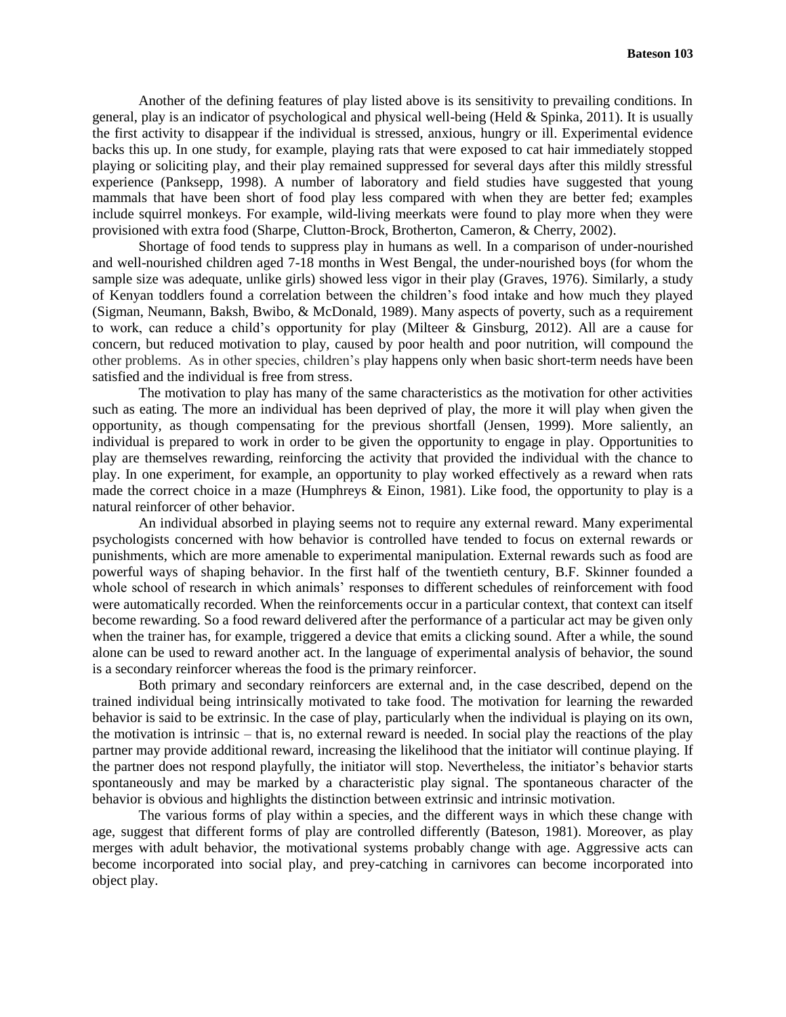Another of the defining features of play listed above is its sensitivity to prevailing conditions. In general, play is an indicator of psychological and physical well-being (Held & Spinka, 2011). It is usually the first activity to disappear if the individual is stressed, anxious, hungry or ill. Experimental evidence backs this up. In one study, for example, playing rats that were exposed to cat hair immediately stopped playing or soliciting play, and their play remained suppressed for several days after this mildly stressful experience (Panksepp, 1998). A number of laboratory and field studies have suggested that young mammals that have been short of food play less compared with when they are better fed; examples include squirrel monkeys. For example, wild-living meerkats were found to play more when they were provisioned with extra food (Sharpe, Clutton-Brock, Brotherton, Cameron, & Cherry, 2002).

Shortage of food tends to suppress play in humans as well. In a comparison of under-nourished and well-nourished children aged 7-18 months in West Bengal, the under-nourished boys (for whom the sample size was adequate, unlike girls) showed less vigor in their play (Graves, 1976). Similarly, a study of Kenyan toddlers found a correlation between the children"s food intake and how much they played (Sigman, Neumann, Baksh, Bwibo, & McDonald, 1989). Many aspects of poverty, such as a requirement to work, can reduce a child"s opportunity for play (Milteer & Ginsburg, 2012). All are a cause for concern, but reduced motivation to play, caused by poor health and poor nutrition, will compound the other problems. As in other species, children"s play happens only when basic short-term needs have been satisfied and the individual is free from stress.

The motivation to play has many of the same characteristics as the motivation for other activities such as eating. The more an individual has been deprived of play, the more it will play when given the opportunity, as though compensating for the previous shortfall (Jensen, 1999). More saliently, an individual is prepared to work in order to be given the opportunity to engage in play. Opportunities to play are themselves rewarding, reinforcing the activity that provided the individual with the chance to play. In one experiment, for example, an opportunity to play worked effectively as a reward when rats made the correct choice in a maze (Humphreys & Einon, 1981). Like food, the opportunity to play is a natural reinforcer of other behavior.

An individual absorbed in playing seems not to require any external reward. Many experimental psychologists concerned with how behavior is controlled have tended to focus on external rewards or punishments, which are more amenable to experimental manipulation. External rewards such as food are powerful ways of shaping behavior. In the first half of the twentieth century, B.F. Skinner founded a whole school of research in which animals' responses to different schedules of reinforcement with food were automatically recorded. When the reinforcements occur in a particular context, that context can itself become rewarding. So a food reward delivered after the performance of a particular act may be given only when the trainer has, for example, triggered a device that emits a clicking sound. After a while, the sound alone can be used to reward another act. In the language of experimental analysis of behavior, the sound is a secondary reinforcer whereas the food is the primary reinforcer.

Both primary and secondary reinforcers are external and, in the case described, depend on the trained individual being intrinsically motivated to take food. The motivation for learning the rewarded behavior is said to be extrinsic. In the case of play, particularly when the individual is playing on its own, the motivation is intrinsic – that is, no external reward is needed. In social play the reactions of the play partner may provide additional reward, increasing the likelihood that the initiator will continue playing. If the partner does not respond playfully, the initiator will stop. Nevertheless, the initiator"s behavior starts spontaneously and may be marked by a characteristic play signal. The spontaneous character of the behavior is obvious and highlights the distinction between extrinsic and intrinsic motivation.

The various forms of play within a species, and the different ways in which these change with age, suggest that different forms of play are controlled differently (Bateson, 1981). Moreover, as play merges with adult behavior, the motivational systems probably change with age. Aggressive acts can become incorporated into social play, and prey-catching in carnivores can become incorporated into object play.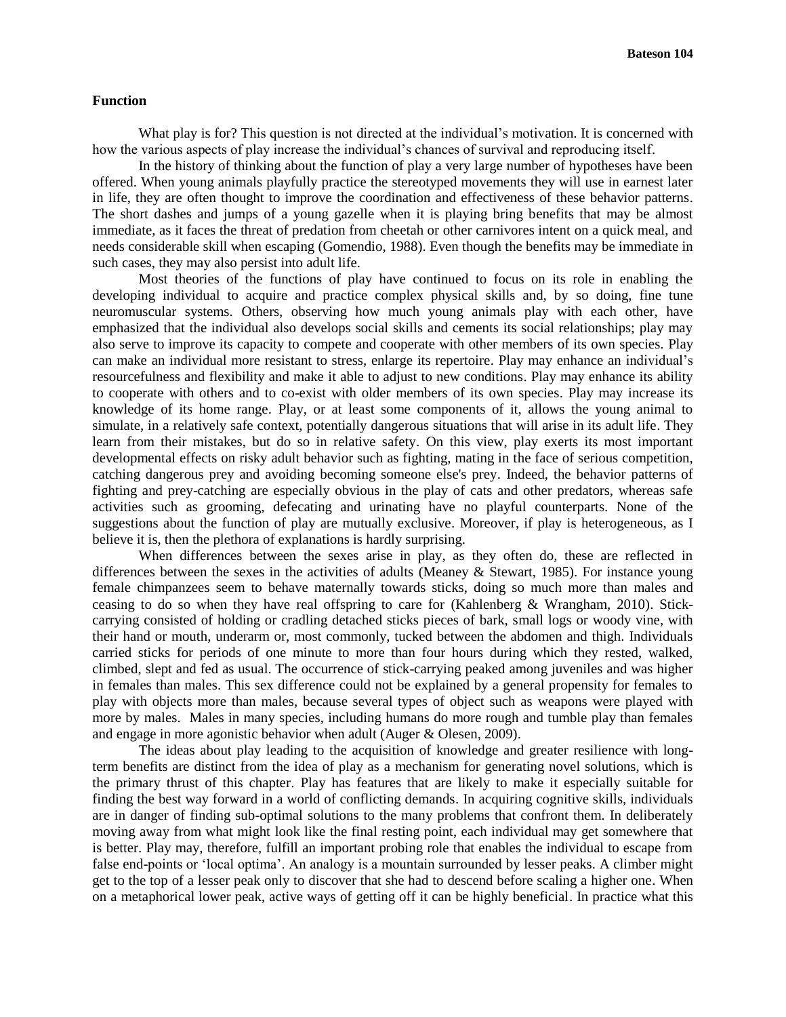### **Function**

What play is for? This question is not directed at the individual's motivation. It is concerned with how the various aspects of play increase the individual's chances of survival and reproducing itself.

In the history of thinking about the function of play a very large number of hypotheses have been offered. When young animals playfully practice the stereotyped movements they will use in earnest later in life, they are often thought to improve the coordination and effectiveness of these behavior patterns. The short dashes and jumps of a young gazelle when it is playing bring benefits that may be almost immediate, as it faces the threat of predation from cheetah or other carnivores intent on a quick meal, and needs considerable skill when escaping (Gomendio, 1988). Even though the benefits may be immediate in such cases, they may also persist into adult life.

Most theories of the functions of play have continued to focus on its role in enabling the developing individual to acquire and practice complex physical skills and, by so doing, fine tune neuromuscular systems. Others, observing how much young animals play with each other, have emphasized that the individual also develops social skills and cements its social relationships; play may also serve to improve its capacity to compete and cooperate with other members of its own species. Play can make an individual more resistant to stress, enlarge its repertoire. Play may enhance an individual"s resourcefulness and flexibility and make it able to adjust to new conditions. Play may enhance its ability to cooperate with others and to co-exist with older members of its own species. Play may increase its knowledge of its home range. Play, or at least some components of it, allows the young animal to simulate, in a relatively safe context, potentially dangerous situations that will arise in its adult life. They learn from their mistakes, but do so in relative safety. On this view, play exerts its most important developmental effects on risky adult behavior such as fighting, mating in the face of serious competition, catching dangerous prey and avoiding becoming someone else's prey. Indeed, the behavior patterns of fighting and prey-catching are especially obvious in the play of cats and other predators, whereas safe activities such as grooming, defecating and urinating have no playful counterparts. None of the suggestions about the function of play are mutually exclusive. Moreover, if play is heterogeneous, as I believe it is, then the plethora of explanations is hardly surprising.

When differences between the sexes arise in play, as they often do, these are reflected in differences between the sexes in the activities of adults (Meaney & Stewart, 1985). For instance young female chimpanzees seem to behave maternally towards sticks, doing so much more than males and ceasing to do so when they have real offspring to care for (Kahlenberg & Wrangham, 2010). Stickcarrying consisted of holding or cradling detached sticks pieces of bark, small logs or woody vine, with their hand or mouth, underarm or, most commonly, tucked between the abdomen and thigh. Individuals carried sticks for periods of one minute to more than four hours during which they rested, walked, climbed, slept and fed as usual. The occurrence of stick-carrying peaked among juveniles and was higher in females than males. This sex difference could not be explained by a general propensity for females to play with objects more than males, because several types of object such as weapons were played with more by males. Males in many species, including humans do more rough and tumble play than females and engage in more agonistic behavior when adult (Auger & Olesen, 2009).

The ideas about play leading to the acquisition of knowledge and greater resilience with longterm benefits are distinct from the idea of play as a mechanism for generating novel solutions, which is the primary thrust of this chapter. Play has features that are likely to make it especially suitable for finding the best way forward in a world of conflicting demands. In acquiring cognitive skills, individuals are in danger of finding sub-optimal solutions to the many problems that confront them. In deliberately moving away from what might look like the final resting point, each individual may get somewhere that is better. Play may, therefore, fulfill an important probing role that enables the individual to escape from false end-points or "local optima". An analogy is a mountain surrounded by lesser peaks. A climber might get to the top of a lesser peak only to discover that she had to descend before scaling a higher one. When on a metaphorical lower peak, active ways of getting off it can be highly beneficial. In practice what this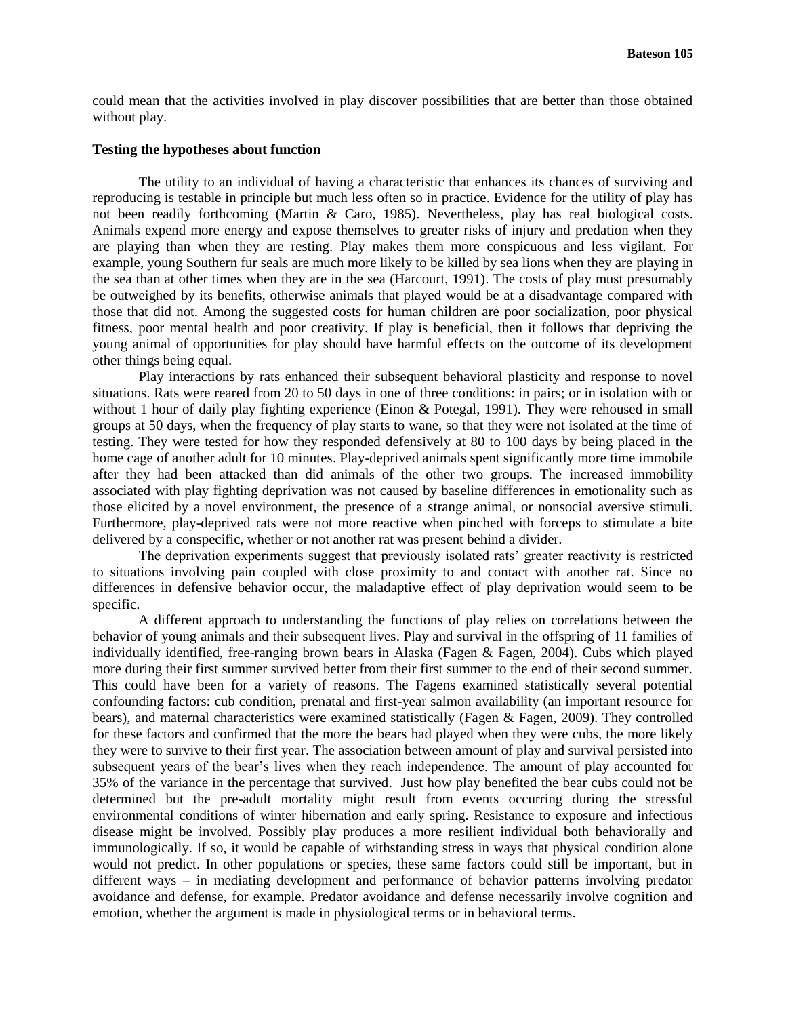could mean that the activities involved in play discover possibilities that are better than those obtained without play.

### **Testing the hypotheses about function**

The utility to an individual of having a characteristic that enhances its chances of surviving and reproducing is testable in principle but much less often so in practice. Evidence for the utility of play has not been readily forthcoming (Martin & Caro, 1985). Nevertheless, play has real biological costs. Animals expend more energy and expose themselves to greater risks of injury and predation when they are playing than when they are resting. Play makes them more conspicuous and less vigilant. For example, young Southern fur seals are much more likely to be killed by sea lions when they are playing in the sea than at other times when they are in the sea (Harcourt, 1991). The costs of play must presumably be outweighed by its benefits, otherwise animals that played would be at a disadvantage compared with those that did not. Among the suggested costs for human children are poor socialization, poor physical fitness, poor mental health and poor creativity. If play is beneficial, then it follows that depriving the young animal of opportunities for play should have harmful effects on the outcome of its development other things being equal.

Play interactions by rats enhanced their subsequent behavioral plasticity and response to novel situations. Rats were reared from 20 to 50 days in one of three conditions: in pairs; or in isolation with or without 1 hour of daily play fighting experience (Einon & Potegal, 1991). They were rehoused in small groups at 50 days, when the frequency of play starts to wane, so that they were not isolated at the time of testing. They were tested for how they responded defensively at 80 to 100 days by being placed in the home cage of another adult for 10 minutes. Play-deprived animals spent significantly more time immobile after they had been attacked than did animals of the other two groups. The increased immobility associated with play fighting deprivation was not caused by baseline differences in emotionality such as those elicited by a novel environment, the presence of a strange animal, or nonsocial aversive stimuli. Furthermore, play-deprived rats were not more reactive when pinched with forceps to stimulate a bite delivered by a conspecific, whether or not another rat was present behind a divider.

The deprivation experiments suggest that previously isolated rats" greater reactivity is restricted to situations involving pain coupled with close proximity to and contact with another rat. Since no differences in defensive behavior occur, the maladaptive effect of play deprivation would seem to be specific.

A different approach to understanding the functions of play relies on correlations between the behavior of young animals and their subsequent lives. Play and survival in the offspring of 11 families of individually identified, free-ranging brown bears in Alaska (Fagen & Fagen, 2004). Cubs which played more during their first summer survived better from their first summer to the end of their second summer. This could have been for a variety of reasons. The Fagens examined statistically several potential confounding factors: cub condition, prenatal and first-year salmon availability (an important resource for bears), and maternal characteristics were examined statistically (Fagen & Fagen, 2009). They controlled for these factors and confirmed that the more the bears had played when they were cubs, the more likely they were to survive to their first year. The association between amount of play and survival persisted into subsequent years of the bear"s lives when they reach independence. The amount of play accounted for 35% of the variance in the percentage that survived. Just how play benefited the bear cubs could not be determined but the pre-adult mortality might result from events occurring during the stressful environmental conditions of winter hibernation and early spring. Resistance to exposure and infectious disease might be involved. Possibly play produces a more resilient individual both behaviorally and immunologically. If so, it would be capable of withstanding stress in ways that physical condition alone would not predict. In other populations or species, these same factors could still be important, but in different ways – in mediating development and performance of behavior patterns involving predator avoidance and defense, for example. Predator avoidance and defense necessarily involve cognition and emotion, whether the argument is made in physiological terms or in behavioral terms.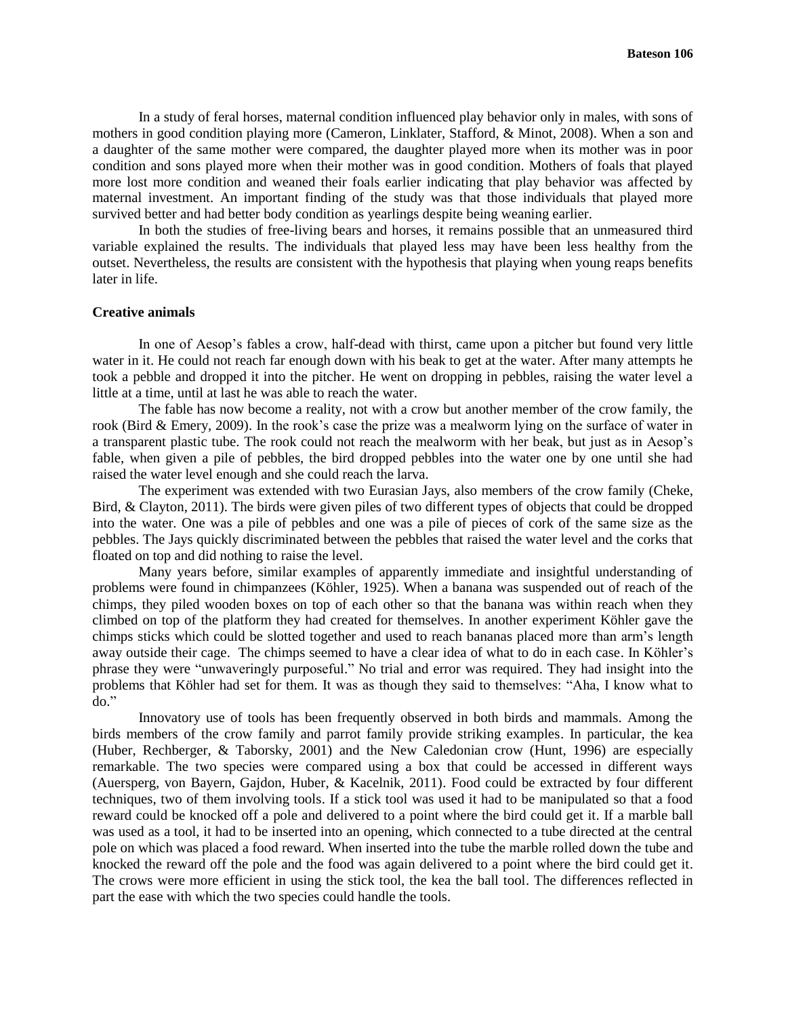In a study of feral horses, maternal condition influenced play behavior only in males, with sons of mothers in good condition playing more (Cameron, Linklater, Stafford, & Minot, 2008). When a son and a daughter of the same mother were compared, the daughter played more when its mother was in poor condition and sons played more when their mother was in good condition. Mothers of foals that played more lost more condition and weaned their foals earlier indicating that play behavior was affected by maternal investment. An important finding of the study was that those individuals that played more survived better and had better body condition as yearlings despite being weaning earlier.

In both the studies of free-living bears and horses, it remains possible that an unmeasured third variable explained the results. The individuals that played less may have been less healthy from the outset. Nevertheless, the results are consistent with the hypothesis that playing when young reaps benefits later in life.

### **Creative animals**

In one of Aesop"s fables a crow, half-dead with thirst, came upon a pitcher but found very little water in it. He could not reach far enough down with his beak to get at the water. After many attempts he took a pebble and dropped it into the pitcher. He went on dropping in pebbles, raising the water level a little at a time, until at last he was able to reach the water.

The fable has now become a reality, not with a crow but another member of the crow family, the rook (Bird & Emery, 2009). In the rook"s case the prize was a mealworm lying on the surface of water in a transparent plastic tube. The rook could not reach the mealworm with her beak, but just as in Aesop"s fable, when given a pile of pebbles, the bird dropped pebbles into the water one by one until she had raised the water level enough and she could reach the larva.

The experiment was extended with two Eurasian Jays, also members of the crow family (Cheke, Bird, & Clayton, 2011). The birds were given piles of two different types of objects that could be dropped into the water. One was a pile of pebbles and one was a pile of pieces of cork of the same size as the pebbles. The Jays quickly discriminated between the pebbles that raised the water level and the corks that floated on top and did nothing to raise the level.

Many years before, similar examples of apparently immediate and insightful understanding of problems were found in chimpanzees (Köhler, 1925). When a banana was suspended out of reach of the chimps, they piled wooden boxes on top of each other so that the banana was within reach when they climbed on top of the platform they had created for themselves. In another experiment Köhler gave the chimps sticks which could be slotted together and used to reach bananas placed more than arm"s length away outside their cage. The chimps seemed to have a clear idea of what to do in each case. In Köhler"s phrase they were "unwaveringly purposeful." No trial and error was required. They had insight into the problems that Köhler had set for them. It was as though they said to themselves: "Aha, I know what to do."

Innovatory use of tools has been frequently observed in both birds and mammals. Among the birds members of the crow family and parrot family provide striking examples. In particular, the kea (Huber, Rechberger, & Taborsky, 2001) and the New Caledonian crow (Hunt, 1996) are especially remarkable. The two species were compared using a box that could be accessed in different ways (Auersperg, von Bayern, Gajdon, Huber, & Kacelnik, 2011). Food could be extracted by four different techniques, two of them involving tools. If a stick tool was used it had to be manipulated so that a food reward could be knocked off a pole and delivered to a point where the bird could get it. If a marble ball was used as a tool, it had to be inserted into an opening, which connected to a tube directed at the central pole on which was placed a food reward. When inserted into the tube the marble rolled down the tube and knocked the reward off the pole and the food was again delivered to a point where the bird could get it. The crows were more efficient in using the stick tool, the kea the ball tool. The differences reflected in part the ease with which the two species could handle the tools.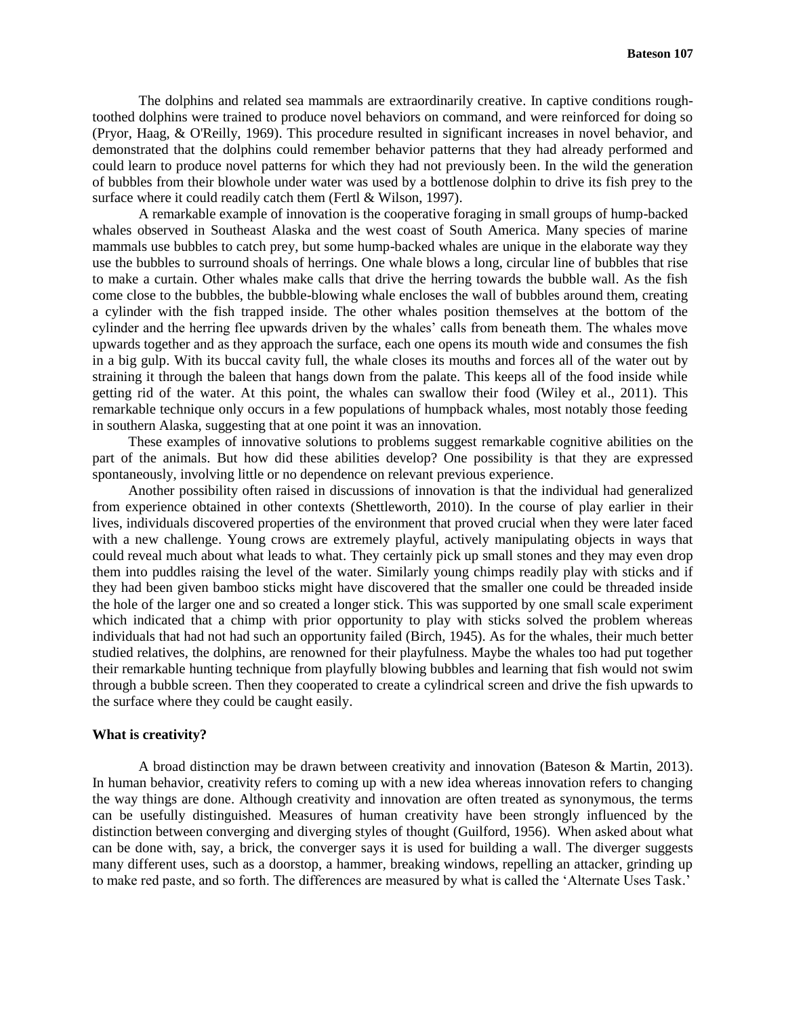The dolphins and related sea mammals are extraordinarily creative. In captive conditions roughtoothed dolphins were trained to produce novel behaviors on command, and were reinforced for doing so (Pryor, Haag, & O'Reilly, 1969). This procedure resulted in significant increases in novel behavior, and demonstrated that the dolphins could remember behavior patterns that they had already performed and could learn to produce novel patterns for which they had not previously been. In the wild the generation of bubbles from their blowhole under water was used by a bottlenose dolphin to drive its fish prey to the surface where it could readily catch them (Fertl & Wilson, 1997).

A remarkable example of innovation is the cooperative foraging in small groups of hump-backed whales observed in Southeast Alaska and the west coast of South America. Many species of marine mammals use bubbles to catch prey, but some hump-backed whales are unique in the elaborate way they use the bubbles to surround shoals of herrings. One whale blows a long, circular line of bubbles that rise to make a curtain. Other whales make calls that drive the herring towards the bubble wall. As the fish come close to the bubbles, the bubble-blowing whale encloses the wall of bubbles around them, creating a cylinder with the fish trapped inside. The other whales position themselves at the bottom of the cylinder and the herring flee upwards driven by the whales" calls from beneath them. The whales move upwards together and as they approach the surface, each one opens its mouth wide and consumes the fish in a big gulp. With its buccal cavity full, the whale closes its mouths and forces all of the water out by straining it through the baleen that hangs down from the palate. This keeps all of the food inside while getting rid of the water. At this point, the whales can swallow their food (Wiley et al., 2011). This remarkable technique only occurs in a few populations of humpback whales, most notably those feeding in southern Alaska, suggesting that at one point it was an innovation.

These examples of innovative solutions to problems suggest remarkable cognitive abilities on the part of the animals. But how did these abilities develop? One possibility is that they are expressed spontaneously, involving little or no dependence on relevant previous experience.

Another possibility often raised in discussions of innovation is that the individual had generalized from experience obtained in other contexts (Shettleworth, 2010). In the course of play earlier in their lives, individuals discovered properties of the environment that proved crucial when they were later faced with a new challenge. Young crows are extremely playful, actively manipulating objects in ways that could reveal much about what leads to what. They certainly pick up small stones and they may even drop them into puddles raising the level of the water. Similarly young chimps readily play with sticks and if they had been given bamboo sticks might have discovered that the smaller one could be threaded inside the hole of the larger one and so created a longer stick. This was supported by one small scale experiment which indicated that a chimp with prior opportunity to play with sticks solved the problem whereas individuals that had not had such an opportunity failed (Birch, 1945). As for the whales, their much better studied relatives, the dolphins, are renowned for their playfulness. Maybe the whales too had put together their remarkable hunting technique from playfully blowing bubbles and learning that fish would not swim through a bubble screen. Then they cooperated to create a cylindrical screen and drive the fish upwards to the surface where they could be caught easily.

## **What is creativity?**

A broad distinction may be drawn between creativity and innovation (Bateson & Martin, 2013). In human behavior, creativity refers to coming up with a new idea whereas innovation refers to changing the way things are done. Although creativity and innovation are often treated as synonymous, the terms can be usefully distinguished. Measures of human creativity have been strongly influenced by the distinction between converging and diverging styles of thought (Guilford, 1956). When asked about what can be done with, say, a brick, the converger says it is used for building a wall. The diverger suggests many different uses, such as a doorstop, a hammer, breaking windows, repelling an attacker, grinding up to make red paste, and so forth. The differences are measured by what is called the "Alternate Uses Task."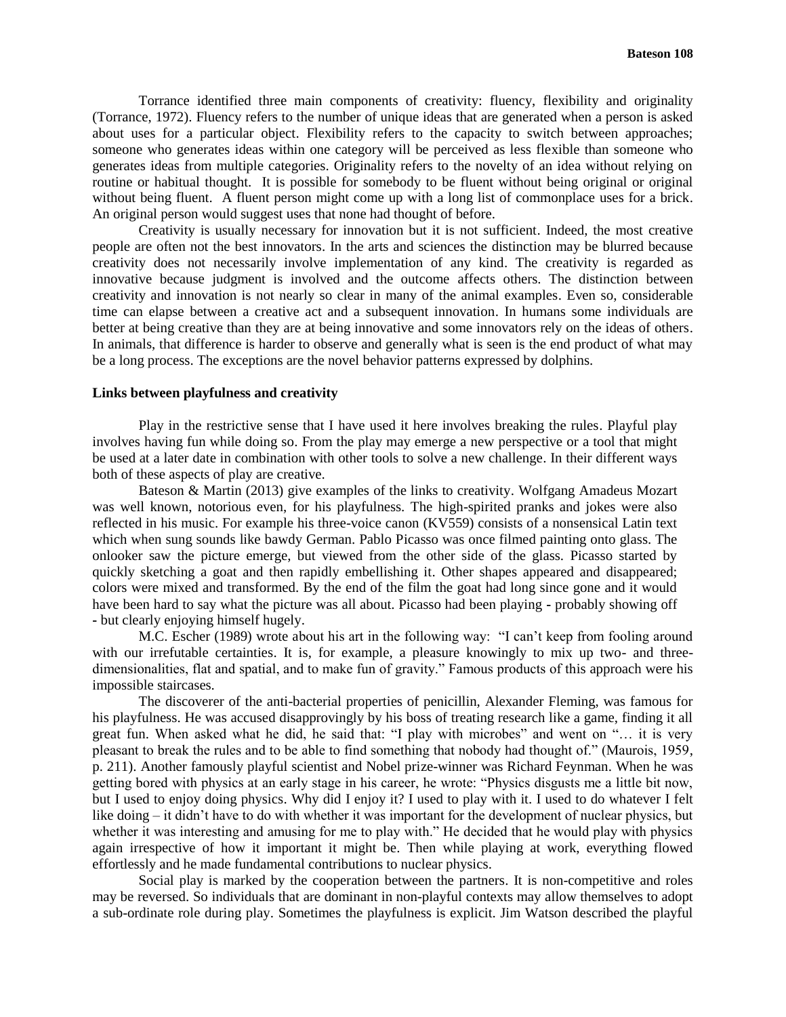Torrance identified three main components of creativity: fluency, flexibility and originality (Torrance, 1972). Fluency refers to the number of unique ideas that are generated when a person is asked about uses for a particular object. Flexibility refers to the capacity to switch between approaches; someone who generates ideas within one category will be perceived as less flexible than someone who generates ideas from multiple categories. Originality refers to the novelty of an idea without relying on routine or habitual thought. It is possible for somebody to be fluent without being original or original without being fluent. A fluent person might come up with a long list of commonplace uses for a brick. An original person would suggest uses that none had thought of before.

Creativity is usually necessary for innovation but it is not sufficient. Indeed, the most creative people are often not the best innovators. In the arts and sciences the distinction may be blurred because creativity does not necessarily involve implementation of any kind. The creativity is regarded as innovative because judgment is involved and the outcome affects others. The distinction between creativity and innovation is not nearly so clear in many of the animal examples. Even so, considerable time can elapse between a creative act and a subsequent innovation. In humans some individuals are better at being creative than they are at being innovative and some innovators rely on the ideas of others. In animals, that difference is harder to observe and generally what is seen is the end product of what may be a long process. The exceptions are the novel behavior patterns expressed by dolphins.

#### **Links between playfulness and creativity**

Play in the restrictive sense that I have used it here involves breaking the rules. Playful play involves having fun while doing so. From the play may emerge a new perspective or a tool that might be used at a later date in combination with other tools to solve a new challenge. In their different ways both of these aspects of play are creative.

Bateson & Martin (2013) give examples of the links to creativity. Wolfgang Amadeus Mozart was well known, notorious even, for his playfulness. The high-spirited pranks and jokes were also reflected in his music. For example his three-voice canon (KV559) consists of a nonsensical Latin text which when sung sounds like bawdy German. Pablo Picasso was once filmed painting onto glass. The onlooker saw the picture emerge, but viewed from the other side of the glass. Picasso started by quickly sketching a goat and then rapidly embellishing it. Other shapes appeared and disappeared; colors were mixed and transformed. By the end of the film the goat had long since gone and it would have been hard to say what the picture was all about. Picasso had been playing **-** probably showing off **-** but clearly enjoying himself hugely.

M.C. Escher (1989) wrote about his art in the following way: "I can"t keep from fooling around with our irrefutable certainties. It is, for example, a pleasure knowingly to mix up two- and threedimensionalities, flat and spatial, and to make fun of gravity." Famous products of this approach were his impossible staircases.

The discoverer of the anti-bacterial properties of penicillin, Alexander Fleming, was famous for his playfulness. He was accused disapprovingly by his boss of treating research like a game, finding it all great fun. When asked what he did, he said that: "I play with microbes" and went on "… it is very pleasant to break the rules and to be able to find something that nobody had thought of." (Maurois, 1959, p. 211). Another famously playful scientist and Nobel prize-winner was Richard Feynman. When he was getting bored with physics at an early stage in his career, he wrote: "Physics disgusts me a little bit now, but I used to enjoy doing physics. Why did I enjoy it? I used to play with it. I used to do whatever I felt like doing – it didn"t have to do with whether it was important for the development of nuclear physics, but whether it was interesting and amusing for me to play with." He decided that he would play with physics again irrespective of how it important it might be. Then while playing at work, everything flowed effortlessly and he made fundamental contributions to nuclear physics.

Social play is marked by the cooperation between the partners. It is non-competitive and roles may be reversed. So individuals that are dominant in non-playful contexts may allow themselves to adopt a sub-ordinate role during play. Sometimes the playfulness is explicit. Jim Watson described the playful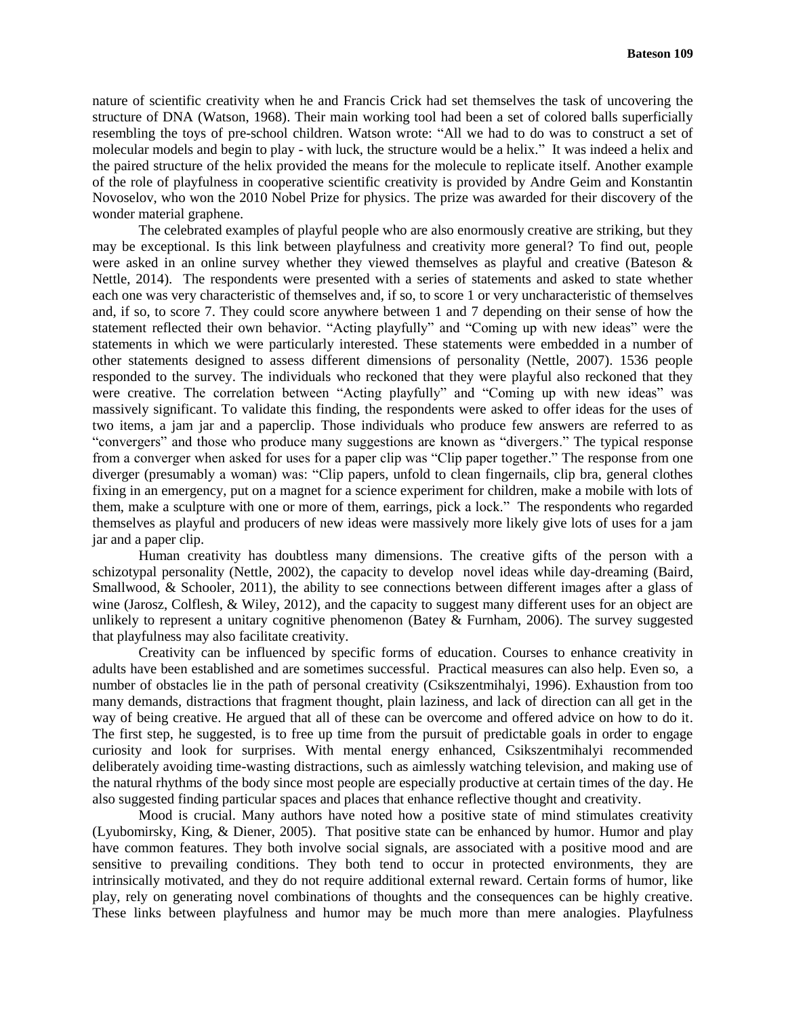nature of scientific creativity when he and Francis Crick had set themselves the task of uncovering the structure of DNA (Watson, 1968). Their main working tool had been a set of colored balls superficially resembling the toys of pre-school children. Watson wrote: "All we had to do was to construct a set of molecular models and begin to play - with luck, the structure would be a helix." It was indeed a helix and the paired structure of the helix provided the means for the molecule to replicate itself. Another example of the role of playfulness in cooperative scientific creativity is provided by Andre Geim and Konstantin Novoselov, who won the 2010 Nobel Prize for physics. The prize was awarded for their discovery of the wonder material graphene.

The celebrated examples of playful people who are also enormously creative are striking, but they may be exceptional. Is this link between playfulness and creativity more general? To find out, people were asked in an online survey whether they viewed themselves as playful and creative (Bateson & Nettle, 2014). The respondents were presented with a series of statements and asked to state whether each one was very characteristic of themselves and, if so, to score 1 or very uncharacteristic of themselves and, if so, to score 7. They could score anywhere between 1 and 7 depending on their sense of how the statement reflected their own behavior. "Acting playfully" and "Coming up with new ideas" were the statements in which we were particularly interested. These statements were embedded in a number of other statements designed to assess different dimensions of personality (Nettle, 2007). 1536 people responded to the survey. The individuals who reckoned that they were playful also reckoned that they were creative. The correlation between "Acting playfully" and "Coming up with new ideas" was massively significant. To validate this finding, the respondents were asked to offer ideas for the uses of two items, a jam jar and a paperclip. Those individuals who produce few answers are referred to as "convergers" and those who produce many suggestions are known as "divergers." The typical response from a converger when asked for uses for a paper clip was "Clip paper together." The response from one diverger (presumably a woman) was: "Clip papers, unfold to clean fingernails, clip bra, general clothes fixing in an emergency, put on a magnet for a science experiment for children, make a mobile with lots of them, make a sculpture with one or more of them, earrings, pick a lock." The respondents who regarded themselves as playful and producers of new ideas were massively more likely give lots of uses for a jam jar and a paper clip.

Human creativity has doubtless many dimensions. The creative gifts of the person with a schizotypal personality (Nettle, 2002), the capacity to develop novel ideas while day-dreaming (Baird, Smallwood, & Schooler, 2011), the ability to see connections between different images after a glass of wine (Jarosz, Colflesh, & Wiley, 2012), and the capacity to suggest many different uses for an object are unlikely to represent a unitary cognitive phenomenon (Batey & Furnham, 2006). The survey suggested that playfulness may also facilitate creativity.

Creativity can be influenced by specific forms of education. Courses to enhance creativity in adults have been established and are sometimes successful. Practical measures can also help. Even so, a number of obstacles lie in the path of personal creativity (Csikszentmihalyi, 1996). Exhaustion from too many demands, distractions that fragment thought, plain laziness, and lack of direction can all get in the way of being creative. He argued that all of these can be overcome and offered advice on how to do it. The first step, he suggested, is to free up time from the pursuit of predictable goals in order to engage curiosity and look for surprises. With mental energy enhanced, Csikszentmihalyi recommended deliberately avoiding time-wasting distractions, such as aimlessly watching television, and making use of the natural rhythms of the body since most people are especially productive at certain times of the day. He also suggested finding particular spaces and places that enhance reflective thought and creativity.

Mood is crucial. Many authors have noted how a positive state of mind stimulates creativity (Lyubomirsky, King, & Diener, 2005). That positive state can be enhanced by humor. Humor and play have common features. They both involve social signals, are associated with a positive mood and are sensitive to prevailing conditions. They both tend to occur in protected environments, they are intrinsically motivated, and they do not require additional external reward. Certain forms of humor, like play, rely on generating novel combinations of thoughts and the consequences can be highly creative. These links between playfulness and humor may be much more than mere analogies. Playfulness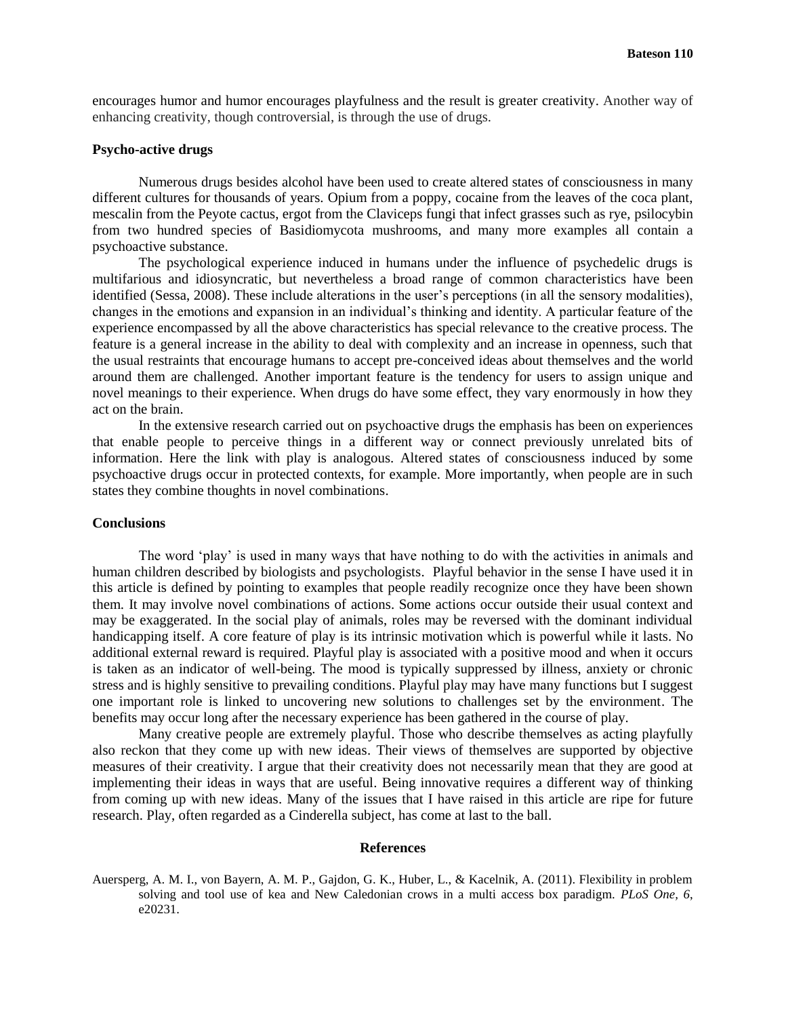encourages humor and humor encourages playfulness and the result is greater creativity. Another way of enhancing creativity, though controversial, is through the use of drugs.

## **Psycho-active drugs**

Numerous drugs besides alcohol have been used to create altered states of consciousness in many different cultures for thousands of years. Opium from a poppy, cocaine from the leaves of the coca plant, mescalin from the Peyote cactus, ergot from the Claviceps fungi that infect grasses such as rye, psilocybin from two hundred species of Basidiomycota mushrooms, and many more examples all contain a psychoactive substance.

The psychological experience induced in humans under the influence of psychedelic drugs is multifarious and idiosyncratic, but nevertheless a broad range of common characteristics have been identified (Sessa, 2008). These include alterations in the user"s perceptions (in all the sensory modalities), changes in the emotions and expansion in an individual"s thinking and identity. A particular feature of the experience encompassed by all the above characteristics has special relevance to the creative process. The feature is a general increase in the ability to deal with complexity and an increase in openness, such that the usual restraints that encourage humans to accept pre-conceived ideas about themselves and the world around them are challenged. Another important feature is the tendency for users to assign unique and novel meanings to their experience. When drugs do have some effect, they vary enormously in how they act on the brain.

In the extensive research carried out on psychoactive drugs the emphasis has been on experiences that enable people to perceive things in a different way or connect previously unrelated bits of information. Here the link with play is analogous. Altered states of consciousness induced by some psychoactive drugs occur in protected contexts, for example. More importantly, when people are in such states they combine thoughts in novel combinations.

## **Conclusions**

The word "play" is used in many ways that have nothing to do with the activities in animals and human children described by biologists and psychologists. Playful behavior in the sense I have used it in this article is defined by pointing to examples that people readily recognize once they have been shown them. It may involve novel combinations of actions. Some actions occur outside their usual context and may be exaggerated. In the social play of animals, roles may be reversed with the dominant individual handicapping itself. A core feature of play is its intrinsic motivation which is powerful while it lasts. No additional external reward is required. Playful play is associated with a positive mood and when it occurs is taken as an indicator of well-being. The mood is typically suppressed by illness, anxiety or chronic stress and is highly sensitive to prevailing conditions. Playful play may have many functions but I suggest one important role is linked to uncovering new solutions to challenges set by the environment. The benefits may occur long after the necessary experience has been gathered in the course of play.

Many creative people are extremely playful. Those who describe themselves as acting playfully also reckon that they come up with new ideas. Their views of themselves are supported by objective measures of their creativity. I argue that their creativity does not necessarily mean that they are good at implementing their ideas in ways that are useful. Being innovative requires a different way of thinking from coming up with new ideas. Many of the issues that I have raised in this article are ripe for future research. Play, often regarded as a Cinderella subject, has come at last to the ball.

#### **References**

Auersperg, A. M. I., von Bayern, A. M. P., Gajdon, G. K., Huber, L., & Kacelnik, A. (2011). Flexibility in problem solving and tool use of kea and New Caledonian crows in a multi access box paradigm. *PLoS One, 6*, e20231.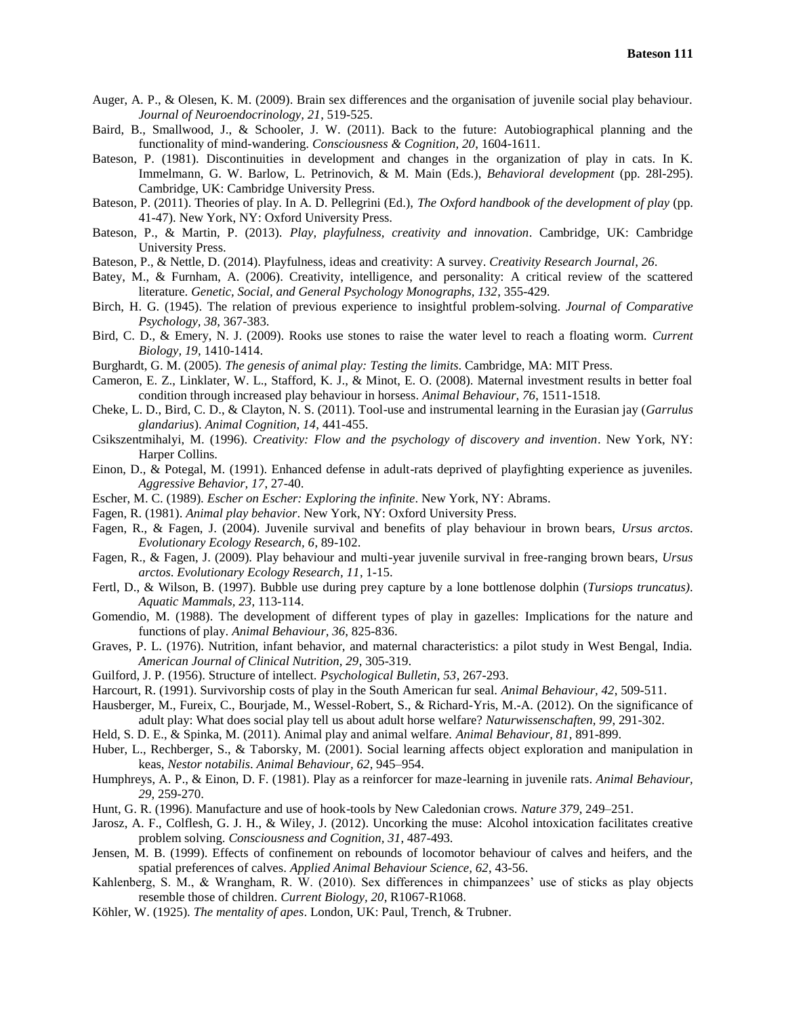- Auger, A. P., & Olesen, K. M. (2009). Brain sex differences and the organisation of juvenile social play behaviour. *Journal of Neuroendocrinology, 21*, 519-525.
- Baird, B., Smallwood, J., & Schooler, J. W. (2011). Back to the future: Autobiographical planning and the functionality of mind-wandering. *Consciousness & Cognition, 20*, 1604-1611.
- Bateson, P. (1981). Discontinuities in development and changes in the organization of play in cats. In K. Immelmann, G. W. Barlow, L. Petrinovich, & M. Main (Eds.), *Behavioral development* (pp. 28l-295). Cambridge, UK: Cambridge University Press.
- Bateson, P. (2011). Theories of play. In A. D. Pellegrini (Ed.), *The Oxford handbook of the development of play* (pp. 41-47). New York, NY: Oxford University Press.
- Bateson, P., & Martin, P. (2013). *Play, playfulness, creativity and innovation*. Cambridge, UK: Cambridge University Press.
- Bateson, P., & Nettle, D. (2014). Playfulness, ideas and creativity: A survey. *Creativity Research Journal*, *26*.
- Batey, M., & Furnham, A. (2006). Creativity, intelligence, and personality: A critical review of the scattered literature. *Genetic, Social, and General Psychology Monographs, 132*, 355-429.
- Birch, H. G. (1945). The relation of previous experience to insightful problem-solving. *Journal of Comparative Psychology, 38*, 367-383.
- Bird, C. D., & Emery, N. J. (2009). Rooks use stones to raise the water level to reach a floating worm. *Current Biology, 19*, 1410-1414.
- Burghardt, G. M. (2005). *The genesis of animal play: Testing the limits*. Cambridge, MA: MIT Press.
- Cameron, E. Z., Linklater, W. L., Stafford, K. J., & Minot, E. O. (2008). Maternal investment results in better foal condition through increased play behaviour in horsess. *Animal Behaviour, 76*, 1511-1518.
- Cheke, L. D., Bird, C. D., & Clayton, N. S. (2011). Tool-use and instrumental learning in the Eurasian jay (*Garrulus glandarius*). *Animal Cognition, 14*, 441-455.
- Csikszentmihalyi, M. (1996). *Creativity: Flow and the psychology of discovery and invention*. New York, NY: Harper Collins.
- Einon, D., & Potegal, M. (1991). Enhanced defense in adult-rats deprived of playfighting experience as juveniles. *Aggressive Behavior, 17*, 27-40.
- Escher, M. C. (1989). *Escher on Escher: Exploring the infinite*. New York, NY: Abrams.
- Fagen, R. (1981). *Animal play behavior*. New York, NY: Oxford University Press.
- Fagen, R., & Fagen, J. (2004). Juvenile survival and benefits of play behaviour in brown bears, *Ursus arctos*. *Evolutionary Ecology Research, 6*, 89-102.
- Fagen, R., & Fagen, J. (2009). Play behaviour and multi-year juvenile survival in free-ranging brown bears, *Ursus arctos*. *Evolutionary Ecology Research, 11*, 1-15.
- Fertl, D., & Wilson, B. (1997). Bubble use during prey capture by a lone bottlenose dolphin (*Tursiops truncatus)*. *Aquatic Mammals, 23*, 113-114.
- Gomendio, M. (1988). The development of different types of play in gazelles: Implications for the nature and functions of play. *Animal Behaviour, 36*, 825-836.
- Graves, P. L. (1976). Nutrition, infant behavior, and maternal characteristics: a pilot study in West Bengal, India. *American Journal of Clinical Nutrition, 29*, 305-319.
- Guilford, J. P. (1956). Structure of intellect. *Psychological Bulletin, 53*, 267-293.
- Harcourt, R. (1991). Survivorship costs of play in the South American fur seal. *Animal Behaviour, 42*, 509-511.
- Hausberger, M., Fureix, C., Bourjade, M., Wessel-Robert, S., & Richard-Yris, M.-A. (2012). On the significance of adult play: What does social play tell us about adult horse welfare? *Naturwissenschaften, 99*, 291-302.
- Held, S. D. E., & Spinka, M. (2011). Animal play and animal welfare. *Animal Behaviour, 81*, 891-899.
- Huber, L., Rechberger, S., & Taborsky, M. (2001). Social learning affects object exploration and manipulation in keas, *Nestor notabilis*. *Animal Behaviour, 62*, 945–954.
- Humphreys, A. P., & Einon, D. F. (1981). Play as a reinforcer for maze-learning in juvenile rats. *Animal Behaviour, 29*, 259-270.
- Hunt, G. R. (1996). Manufacture and use of hook-tools by New Caledonian crows. *Nature 379*, 249–251.
- Jarosz, A. F., Colflesh, G. J. H., & Wiley, J. (2012). Uncorking the muse: Alcohol intoxication facilitates creative problem solving. *Consciousness and Cognition, 31*, 487-493.
- Jensen, M. B. (1999). Effects of confinement on rebounds of locomotor behaviour of calves and heifers, and the spatial preferences of calves. *Applied Animal Behaviour Science, 62*, 43-56.
- Kahlenberg, S. M., & Wrangham, R. W. (2010). Sex differences in chimpanzees' use of sticks as play objects resemble those of children. *Current Biology, 20*, R1067-R1068.
- Köhler, W. (1925). *The mentality of apes*. London, UK: Paul, Trench, & Trubner.